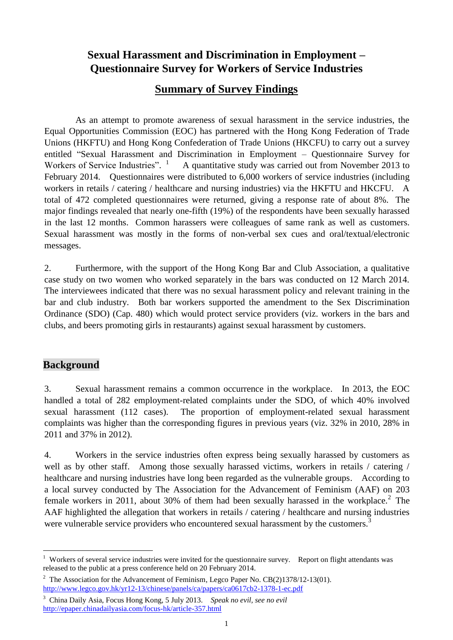## **Sexual Harassment and Discrimination in Employment – Questionnaire Survey for Workers of Service Industries**

#### **Summary of Survey Findings**

As an attempt to promote awareness of sexual harassment in the service industries, the Equal Opportunities Commission (EOC) has partnered with the Hong Kong Federation of Trade Unions (HKFTU) and Hong Kong Confederation of Trade Unions (HKCFU) to carry out a survey entitled "Sexual Harassment and Discrimination in Employment – Questionnaire Survey for Workers of Service Industries". <sup>1</sup> <sup>1</sup> A quantitative study was carried out from November 2013 to February 2014. Questionnaires were distributed to 6,000 workers of service industries (including workers in retails / catering / healthcare and nursing industries) via the HKFTU and HKCFU. A total of 472 completed questionnaires were returned, giving a response rate of about 8%. The major findings revealed that nearly one-fifth (19%) of the respondents have been sexually harassed in the last 12 months. Common harassers were colleagues of same rank as well as customers. Sexual harassment was mostly in the forms of non-verbal sex cues and oral/textual/electronic messages.

2. Furthermore, with the support of the Hong Kong Bar and Club Association, a qualitative case study on two women who worked separately in the bars was conducted on 12 March 2014. The interviewees indicated that there was no sexual harassment policy and relevant training in the bar and club industry. Both bar workers supported the amendment to the Sex Discrimination Ordinance (SDO) (Cap. 480) which would protect service providers (viz. workers in the bars and clubs, and beers promoting girls in restaurants) against sexual harassment by customers.

#### **Background**

3. Sexual harassment remains a common occurrence in the workplace. In 2013, the EOC handled a total of 282 employment-related complaints under the SDO, of which 40% involved sexual harassment (112 cases). The proportion of employment-related sexual harassment complaints was higher than the corresponding figures in previous years (viz. 32% in 2010, 28% in 2011 and 37% in 2012).

4. Workers in the service industries often express being sexually harassed by customers as well as by other staff. Among those sexually harassed victims, workers in retails / catering / healthcare and nursing industries have long been regarded as the vulnerable groups. [According to](http://endviolence.un.org/pdf/pressmaterials/unite_the_situation_en.pdf)  a local survey conducted by The Association for the Advancement of Feminism (AAF) on 203 female workers in 2011, about 30% of them had been sexually harassed in the workplace.<sup>2</sup> The AAF highlighted the allegation that workers in retails / catering / healthcare and nursing industries were vulnerable service providers who encountered sexual harassment by the customers.<sup>3</sup>

 $\overline{a}$ <sup>1</sup> Workers of several service industries were invited for the questionnaire survey. Report on flight attendants was released to the public at a press conference held on 20 February 2014.

<sup>&</sup>lt;sup>2</sup> The Association for the Advancement of Feminism, Legco Paper No.  $CB(2)1378/12-13(01)$ . <http://www.legco.gov.hk/yr12-13/chinese/panels/ca/papers/ca0617cb2-1378-1-ec.pdf>

<sup>3</sup> China Daily Asia, Focus Hong Kong, 5 July 2013. *Speak no evil, see no evil* <http://epaper.chinadailyasia.com/focus-hk/article-357.html>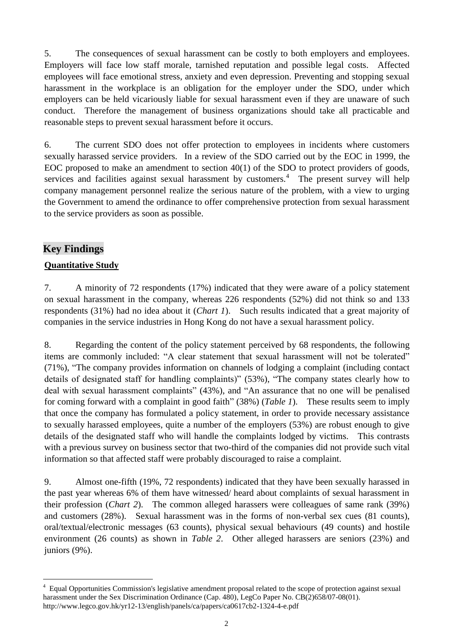5. The consequences of sexual harassment can be costly to both employers and employees. Employers will face low staff morale, tarnished reputation and possible legal costs. Affected employees will face emotional stress, anxiety and even depression. Preventing and stopping sexual harassment in the workplace is an obligation for the employer under the SDO, under which employers can be held vicariously liable for sexual harassment even if they are unaware of such conduct. Therefore the management of business organizations should take all practicable and reasonable steps to prevent sexual harassment before it occurs.

6. The current SDO does not offer protection to employees in incidents where customers sexually harassed service providers. In a review of the SDO carried out by the EOC in 1999, the EOC proposed to make an amendment to section 40(1) of the SDO to protect providers of goods, services and facilities against sexual harassment by customers.<sup>4</sup> The present survey will help company management personnel realize the serious nature of the problem, with a view to urging the Government to amend the ordinance to offer comprehensive protection from sexual harassment to the service providers as soon as possible.

#### **Key Findings**

 $\overline{a}$ 

#### **Quantitative Study**

7. A minority of 72 respondents (17%) indicated that they were aware of a policy statement on sexual harassment in the company, whereas 226 respondents (52%) did not think so and 133 respondents (31%) had no idea about it (*Chart 1*). Such results indicated that a great majority of companies in the service industries in Hong Kong do not have a sexual harassment policy.

8. Regarding the content of the policy statement perceived by 68 respondents, the following items are commonly included: "A clear statement that sexual harassment will not be tolerated" (71%), "The company provides information on channels of lodging a complaint (including contact details of designated staff for handling complaints)" (53%), "The company states clearly how to deal with sexual harassment complaints" (43%), and "An assurance that no one will be penalised for coming forward with a complaint in good faith" (38%) (*Table 1*). These results seem to imply that once the company has formulated a policy statement, in order to provide necessary assistance to sexually harassed employees, quite a number of the employers (53%) are robust enough to give details of the designated staff who will handle the complaints lodged by victims. This contrasts with a previous survey on business sector that two-third of the companies did not provide such vital information so that affected staff were probably discouraged to raise a complaint.

9. Almost one-fifth (19%, 72 respondents) indicated that they have been sexually harassed in the past year whereas 6% of them have witnessed/ heard about complaints of sexual harassment in their profession (*Chart 2*). The common alleged harassers were colleagues of same rank (39%) and customers (28%). Sexual harassment was in the forms of non-verbal sex cues (81 counts), oral/textual/electronic messages (63 counts), physical sexual behaviours (49 counts) and hostile environment (26 counts) as shown in *Table 2*. Other alleged harassers are seniors (23%) and juniors (9%).

<sup>&</sup>lt;sup>4</sup> Equal Opportunities Commission's legislative amendment proposal related to the scope of protection against sexual harassment under the Sex Discrimination Ordinance (Cap. 480), LegCo Paper No. CB(2)658/07-08(01). http://www.legco.gov.hk/yr12-13/english/panels/ca/papers/ca0617cb2-1324-4-e.pdf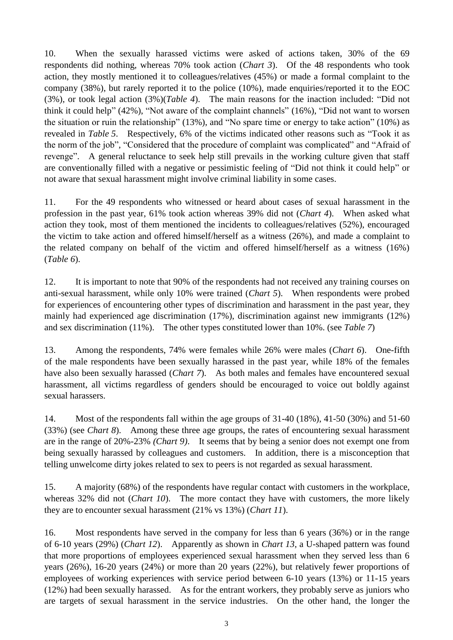10. When the sexually harassed victims were asked of actions taken, 30% of the 69 respondents did nothing, whereas 70% took action (*Chart 3*). Of the 48 respondents who took action, they mostly mentioned it to colleagues/relatives (45%) or made a formal complaint to the company (38%), but rarely reported it to the police (10%), made enquiries/reported it to the EOC (3%), or took legal action (3%)(*Table 4*). The main reasons for the inaction included: "Did not think it could help" (42%), "Not aware of the complaint channels" (16%), "Did not want to worsen the situation or ruin the relationship" (13%), and "No spare time or energy to take action" (10%) as revealed in *Table 5*. Respectively, 6% of the victims indicated other reasons such as "Took it as the norm of the job", "Considered that the procedure of complaint was complicated" and "Afraid of revenge". A general reluctance to seek help still prevails in the working culture given that staff are conventionally filled with a negative or pessimistic feeling of "Did not think it could help" or not aware that sexual harassment might involve criminal liability in some cases.

11. For the 49 respondents who witnessed or heard about cases of sexual harassment in the profession in the past year, 61% took action whereas 39% did not (*Chart 4*). When asked what action they took, most of them mentioned the incidents to colleagues/relatives (52%), encouraged the victim to take action and offered himself/herself as a witness (26%), and made a complaint to the related company on behalf of the victim and offered himself/herself as a witness (16%) (*Table 6*).

12. It is important to note that 90% of the respondents had not received any training courses on anti-sexual harassment, while only 10% were trained (*Chart 5*). When respondents were probed for experiences of encountering other types of discrimination and harassment in the past year, they mainly had experienced age discrimination (17%), discrimination against new immigrants (12%) and sex discrimination (11%). The other types constituted lower than 10%. (see *Table 7*)

13. Among the respondents, 74% were females while 26% were males (*Chart 6*). One-fifth of the male respondents have been sexually harassed in the past year, while 18% of the females have also been sexually harassed (*Chart 7*). As both males and females have encountered sexual harassment, all victims regardless of genders should be encouraged to voice out boldly against sexual harassers.

14. Most of the respondents fall within the age groups of 31-40 (18%), 41-50 (30%) and 51-60 (33%) (see *Chart 8*). Among these three age groups, the rates of encountering sexual harassment are in the range of 20%-23% *(Chart 9)*. It seems that by being a senior does not exempt one from being sexually harassed by colleagues and customers. In addition, there is a misconception that telling unwelcome dirty jokes related to sex to peers is not regarded as sexual harassment.

15. A majority (68%) of the respondents have regular contact with customers in the workplace, whereas 32% did not (*Chart 10*). The more contact they have with customers, the more likely they are to encounter sexual harassment (21% vs 13%) (*Chart 11*).

16. Most respondents have served in the company for less than 6 years (36%) or in the range of 6-10 years (29%) (*Chart 12*). Apparently as shown in *Chart 13*, a U-shaped pattern was found that more proportions of employees experienced sexual harassment when they served less than 6 years (26%), 16-20 years (24%) or more than 20 years (22%), but relatively fewer proportions of employees of working experiences with service period between 6-10 years (13%) or 11-15 years (12%) had been sexually harassed. As for the entrant workers, they probably serve as juniors who are targets of sexual harassment in the service industries. On the other hand, the longer the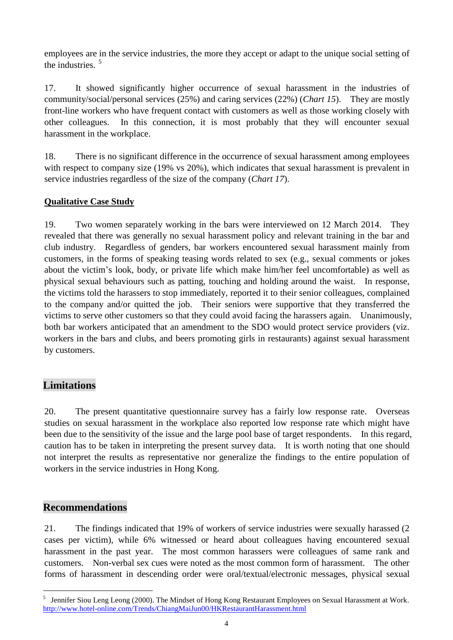employees are in the service industries, the more they accept or adapt to the unique social setting of the industries. 5

17. It showed significantly higher occurrence of sexual harassment in the industries of community/social/personal services (25%) and caring services (22%) (*Chart 15*). They are mostly front-line workers who have frequent contact with customers as well as those working closely with other colleagues. In this connection, it is most probably that they will encounter sexual harassment in the workplace.

18. There is no significant difference in the occurrence of sexual harassment among employees with respect to company size (19% vs 20%), which indicates that sexual harassment is prevalent in service industries regardless of the size of the company (*Chart 17*).

#### **Qualitative Case Study**

19. Two women separately working in the bars were interviewed on 12 March 2014. They revealed that there was generally no sexual harassment policy and relevant training in the bar and club industry. Regardless of genders, bar workers encountered sexual harassment mainly from customers, in the forms of speaking teasing words related to sex (e.g., sexual comments or jokes about the victim's look, body, or private life which make him/her feel uncomfortable) as well as physical sexual behaviours such as patting, touching and holding around the waist. In response, the victims told the harassers to stop immediately, reported it to their senior colleagues, complained to the company and/or quitted the job. Their seniors were supportive that they transferred the victims to serve other customers so that they could avoid facing the harassers again. Unanimously, both bar workers anticipated that an amendment to the SDO would protect service providers (viz. workers in the bars and clubs, and beers promoting girls in restaurants) against sexual harassment by customers.

#### **Limitations**

20. The present quantitative questionnaire survey has a fairly low response rate. Overseas studies on sexual harassment in the workplace also reported low response rate which might have been due to the sensitivity of the issue and the large pool base of target respondents. In this regard, caution has to be taken in interpreting the present survey data. It is worth noting that one should not interpret the results as representative nor generalize the findings to the entire population of workers in the service industries in Hong Kong.

#### **Recommendations**

 $\overline{a}$ 

21. The findings indicated that 19% of workers of service industries were sexually harassed (2 cases per victim), while 6% witnessed or heard about colleagues having encountered sexual harassment in the past year. The most common harassers were colleagues of same rank and customers. Non-verbal sex cues were noted as the most common form of harassment. The other forms of harassment in descending order were oral/textual/electronic messages, physical sexual

<sup>&</sup>lt;sup>5</sup> Jennifer Siou Leng Leong (2000). The Mindset of Hong Kong Restaurant Employees on Sexual Harassment at Work. <http://www.hotel-online.com/Trends/ChiangMaiJun00/HKRestaurantHarassment.html>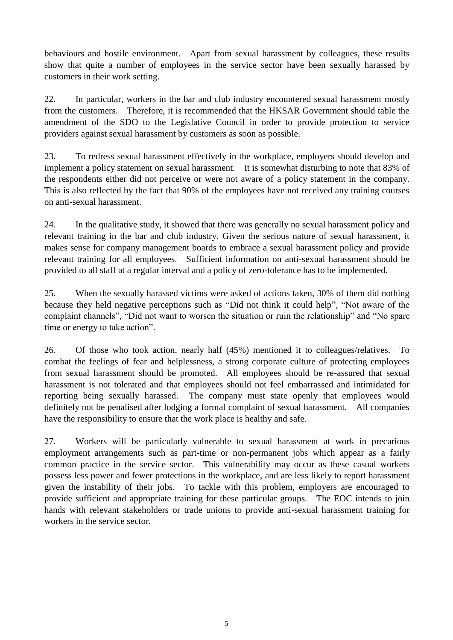behaviours and hostile environment. Apart from sexual harassment by colleagues, these results show that quite a number of employees in the service sector have been sexually harassed by customers in their work setting.

22. In particular, workers in the bar and club industry encountered sexual harassment mostly from the customers. Therefore, it is recommended that the HKSAR Government should table the amendment of the SDO to the Legislative Council in order to provide protection to service providers against sexual harassment by customers as soon as possible.

23. To redress sexual harassment effectively in the workplace, employers should develop and implement a policy statement on sexual harassment. It is somewhat disturbing to note that 83% of the respondents either did not perceive or were not aware of a policy statement in the company. This is also reflected by the fact that 90% of the employees have not received any training courses on anti-sexual harassment.

24. In the qualitative study, it showed that there was generally no sexual harassment policy and relevant training in the bar and club industry. Given the serious nature of sexual harassment, it makes sense for company management boards to embrace a sexual harassment policy and provide relevant training for all employees. Sufficient information on anti-sexual harassment should be provided to all staff at a regular interval and a policy of zero-tolerance has to be implemented.

25. When the sexually harassed victims were asked of actions taken, 30% of them did nothing because they held negative perceptions such as "Did not think it could help", "Not aware of the complaint channels", "Did not want to worsen the situation or ruin the relationship" and "No spare time or energy to take action".

26. Of those who took action, nearly half (45%) mentioned it to colleagues/relatives. To combat the feelings of fear and helplessness, a strong corporate culture of protecting employees from sexual harassment should be promoted. All employees should be re-assured that sexual harassment is not tolerated and that employees should not feel embarrassed and intimidated for reporting being sexually harassed. The company must state openly that employees would definitely not be penalised after lodging a formal complaint of sexual harassment. All companies have the responsibility to ensure that the work place is healthy and safe.

27. Workers will be particularly vulnerable to sexual harassment at work in precarious employment arrangements such as part-time or non-permanent jobs which appear as a fairly common practice in the service sector. This vulnerability may occur as these casual workers possess less power and fewer protections in the workplace, and are less likely to report harassment given the instability of their jobs. To tackle with this problem, employers are encouraged to provide sufficient and appropriate training for these particular groups. The EOC intends to join hands with relevant stakeholders or trade unions to provide anti-sexual harassment training for workers in the service sector.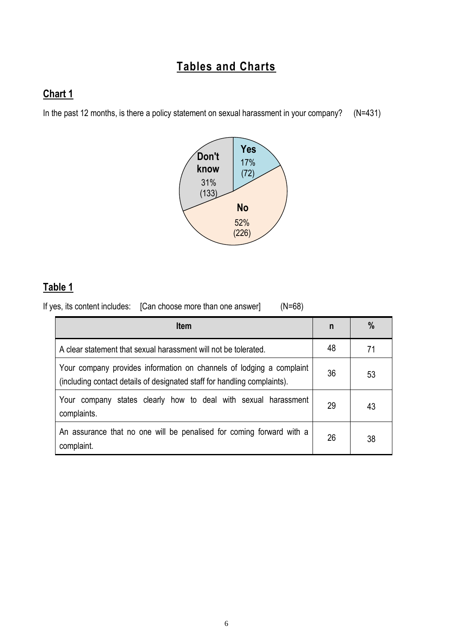# **Tables and Charts**

# **Chart 1**

In the past 12 months, is there a policy statement on sexual harassment in your company? (N=431)



#### **Table 1**

If yes, its content includes: [Can choose more than one answer] (N=68)

| <b>Item</b>                                                                                                                                      |    | $\%$ |
|--------------------------------------------------------------------------------------------------------------------------------------------------|----|------|
| A clear statement that sexual harassment will not be tolerated.                                                                                  | 48 | 71   |
| Your company provides information on channels of lodging a complaint<br>(including contact details of designated staff for handling complaints). | 36 | 53   |
| company states clearly how to deal with sexual harassment<br>Your<br>complaints.                                                                 | 29 | 43   |
| An assurance that no one will be penalised for coming forward with a<br>complaint.                                                               | 26 | 38   |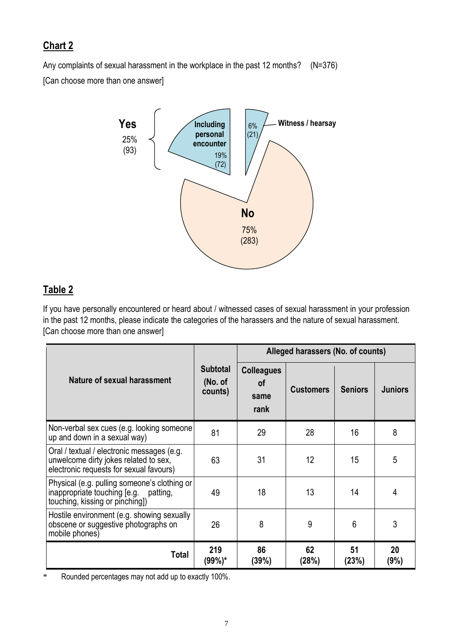Any complaints of sexual harassment in the workplace in the past 12 months? (N=376) [Can choose more than one answer]



## **Table 2**

If you have personally encountered or heard about / witnessed cases of sexual harassment in your profession in the past 12 months, please indicate the categories of the harassers and the nature of sexual harassment. [Can choose more than one answer]

|                                                                                                                                |                                       | Alleged harassers (No. of counts)       |                  |                |                |
|--------------------------------------------------------------------------------------------------------------------------------|---------------------------------------|-----------------------------------------|------------------|----------------|----------------|
| Nature of sexual harassment                                                                                                    | <b>Subtotal</b><br>(No. of<br>counts) | <b>Colleagues</b><br>οf<br>same<br>rank | <b>Customers</b> | <b>Seniors</b> | <b>Juniors</b> |
| Non-verbal sex cues (e.g. looking someone<br>up and down in a sexual way)                                                      | 81                                    | 29                                      | 28               | 16             | 8              |
| Oral / textual / electronic messages (e.g.<br>unwelcome dirty jokes related to sex,<br>electronic requests for sexual favours) | 63                                    | 31                                      | 12               | 15             | 5              |
| Physical (e.g. pulling someone's clothing or<br>inappropriate touching [e.g. patting,<br>touching, kissing or pinching])       | 49                                    | 18                                      | 13               | 14             | 4              |
| Hostile environment (e.g. showing sexually<br>obscene or suggestive photographs on<br>mobile phones)                           | 26                                    | 8                                       | 9                | 6              | 3              |
| Total                                                                                                                          | 219<br>(99%)*                         | 86<br>(39%)                             | 62<br>(28%)      | 51<br>(23%)    | 20<br>(9%)     |

\* Rounded percentages may not add up to exactly 100%.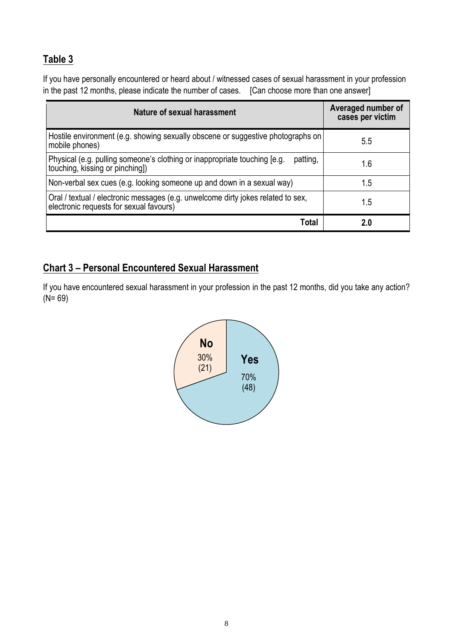# **Table 3**

If you have personally encountered or heard about / witnessed cases of sexual harassment in your profession in the past 12 months, please indicate the number of cases. [Can choose more than one answer]

| Nature of sexual harassment                                                                                                 | Averaged number of<br>cases per victim |
|-----------------------------------------------------------------------------------------------------------------------------|----------------------------------------|
| Hostile environment (e.g. showing sexually obscene or suggestive photographs on<br>mobile phones)                           | 5.5                                    |
| Physical (e.g. pulling someone's clothing or inappropriate touching [e.g.<br>patting,<br>touching, kissing or pinching])    | 1.6                                    |
| Non-verbal sex cues (e.g. looking someone up and down in a sexual way)                                                      | 1.5                                    |
| Oral / textual / electronic messages (e.g. unwelcome dirty jokes related to sex,<br>electronic requests for sexual favours) | 1.5                                    |
| Total                                                                                                                       | 2.0                                    |

### **Chart 3 – Personal Encountered Sexual Harassment**

If you have encountered sexual harassment in your profession in the past 12 months, did you take any action?  $(N = 69)$ 

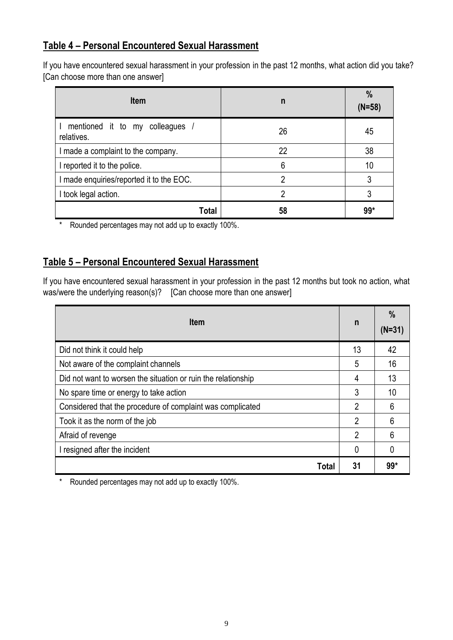#### **Table 4 – Personal Encountered Sexual Harassment**

If you have encountered sexual harassment in your profession in the past 12 months, what action did you take? [Can choose more than one answer]

| <b>Item</b>                                   | n  | $\%$<br>$(N=58)$ |
|-----------------------------------------------|----|------------------|
| mentioned it to my colleagues /<br>relatives. | 26 | 45               |
| I made a complaint to the company.            | 22 | 38               |
| I reported it to the police.                  | 6  | 10               |
| I made enquiries/reported it to the EOC.      | っ  | 3                |
| I took legal action.                          | າ  | 3                |
| Total                                         | 58 | $99*$            |

\* Rounded percentages may not add up to exactly 100%.

#### **Table 5 – Personal Encountered Sexual Harassment**

If you have encountered sexual harassment in your profession in the past 12 months but took no action, what was/were the underlying reason(s)? [Can choose more than one answer]

| <b>Item</b>                                                   |                | $\%$<br>$(N=31)$ |
|---------------------------------------------------------------|----------------|------------------|
| Did not think it could help                                   | 13             | 42               |
| Not aware of the complaint channels                           | 5              | 16               |
| Did not want to worsen the situation or ruin the relationship | 4              | 13               |
| No spare time or energy to take action                        | 3              | 10               |
| Considered that the procedure of complaint was complicated    | $\overline{2}$ | 6                |
| Took it as the norm of the job                                | $\overline{2}$ | 6                |
| Afraid of revenge                                             | $\overline{2}$ | 6                |
| I resigned after the incident                                 | 0              |                  |
| Total                                                         | 31             | $99*$            |

\* Rounded percentages may not add up to exactly 100%.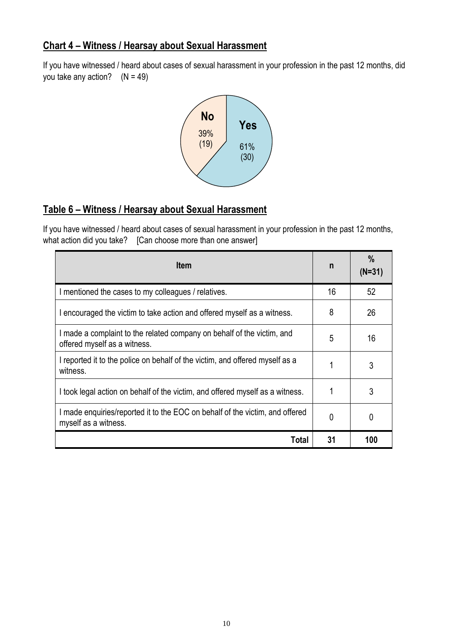#### **Chart 4 – Witness / Hearsay about Sexual Harassment**

If you have witnessed / heard about cases of sexual harassment in your profession in the past 12 months, did you take any action?  $(N = 49)$ 



## **Table 6 – Witness / Hearsay about Sexual Harassment**

If you have witnessed / heard about cases of sexual harassment in your profession in the past 12 months, what action did you take? [Can choose more than one answer]

| <b>Item</b>                                                                                            | n  | $\frac{0}{0}$<br>$(N=31)$ |
|--------------------------------------------------------------------------------------------------------|----|---------------------------|
| I mentioned the cases to my colleagues / relatives.                                                    | 16 | 52                        |
| I encouraged the victim to take action and offered myself as a witness.                                | 8  | 26                        |
| I made a complaint to the related company on behalf of the victim, and<br>offered myself as a witness. | 5  | 16                        |
| I reported it to the police on behalf of the victim, and offered myself as a<br>witness.               |    | 3                         |
| I took legal action on behalf of the victim, and offered myself as a witness.                          |    | 3                         |
| I made enquiries/reported it to the EOC on behalf of the victim, and offered<br>myself as a witness.   | 0  | 0                         |
| Total                                                                                                  | 31 | 100                       |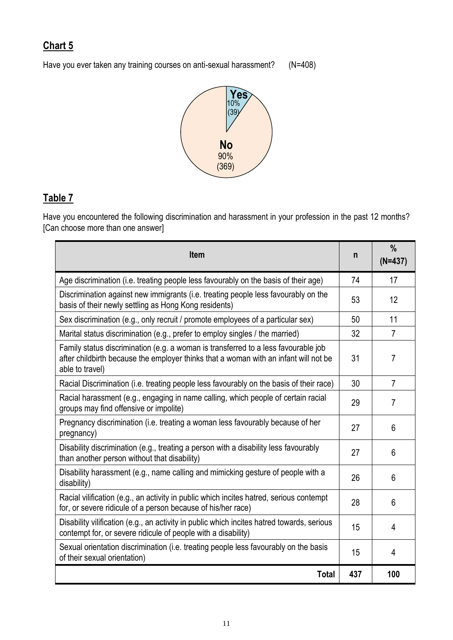Have you ever taken any training courses on anti-sexual harassment? (N=408)



# **Table 7**

Have you encountered the following discrimination and harassment in your profession in the past 12 months? [Can choose more than one answer]

| <b>Item</b>                                                                                                                                                                                   | n   | $\%$<br>$(N=437)$ |
|-----------------------------------------------------------------------------------------------------------------------------------------------------------------------------------------------|-----|-------------------|
| Age discrimination (i.e. treating people less favourably on the basis of their age)                                                                                                           | 74  | 17                |
| Discrimination against new immigrants (i.e. treating people less favourably on the<br>basis of their newly settling as Hong Kong residents)                                                   | 53  | 12                |
| Sex discrimination (e.g., only recruit / promote employees of a particular sex)                                                                                                               | 50  | 11                |
| Marital status discrimination (e.g., prefer to employ singles / the married)                                                                                                                  | 32  | $\overline{7}$    |
| Family status discrimination (e.g. a woman is transferred to a less favourable job<br>after childbirth because the employer thinks that a woman with an infant will not be<br>able to travel) | 31  | $\overline{7}$    |
| Racial Discrimination (i.e. treating people less favourably on the basis of their race)                                                                                                       | 30  | $\overline{7}$    |
| Racial harassment (e.g., engaging in name calling, which people of certain racial<br>groups may find offensive or impolite)                                                                   | 29  | 7                 |
| Pregnancy discrimination (i.e. treating a woman less favourably because of her<br>pregnancy)                                                                                                  | 27  | 6                 |
| Disability discrimination (e.g., treating a person with a disability less favourably<br>than another person without that disability)                                                          | 27  | 6                 |
| Disability harassment (e.g., name calling and mimicking gesture of people with a<br>disability)                                                                                               | 26  | 6                 |
| Racial vilification (e.g., an activity in public which incites hatred, serious contempt<br>for, or severe ridicule of a person because of his/her race)                                       | 28  | 6                 |
| Disability vilification (e.g., an activity in public which incites hatred towards, serious<br>contempt for, or severe ridicule of people with a disability)                                   | 15  | 4                 |
| Sexual orientation discrimination (i.e. treating people less favourably on the basis<br>of their sexual orientation)                                                                          | 15  | 4                 |
| <b>Total</b>                                                                                                                                                                                  | 437 | 100               |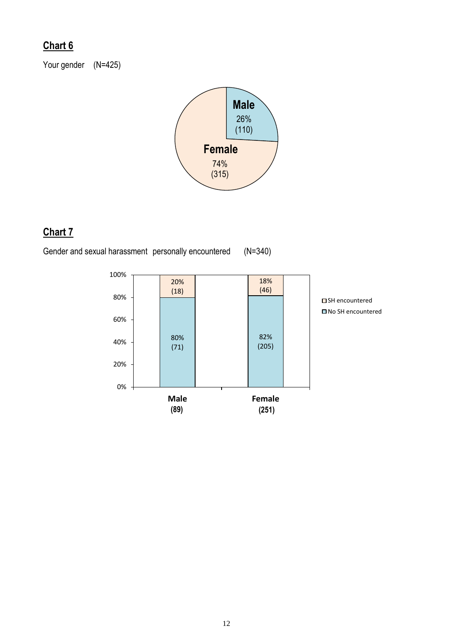Your gender (N=425)



# **Chart 7**

Gender and sexual harassment personally encountered (N=340)

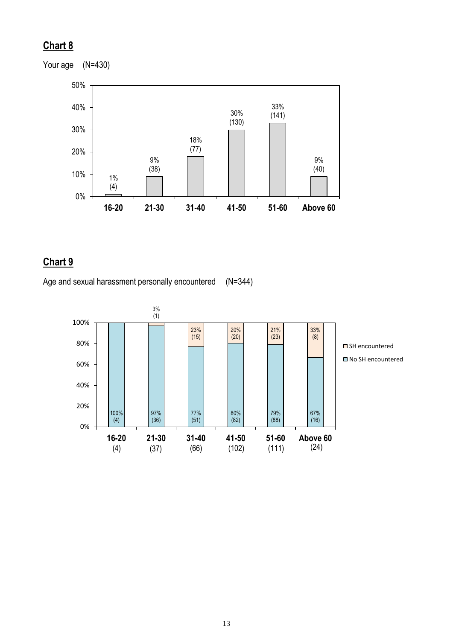

#### **Chart 9**

Age and sexual harassment personally encountered (N=344)



13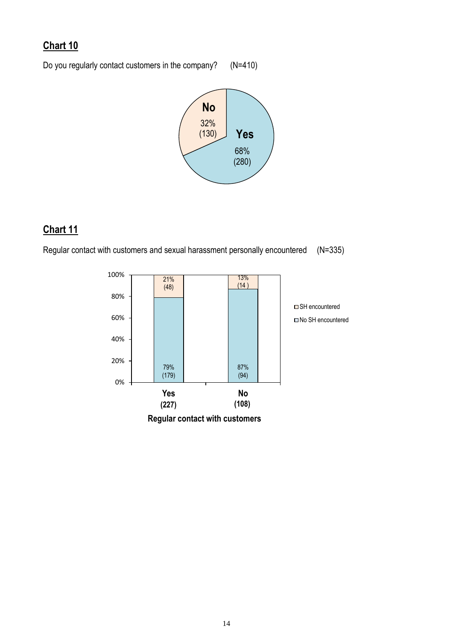Do you regularly contact customers in the company? (N=410)



## **Chart 11**

Regular contact with customers and sexual harassment personally encountered (N=335)

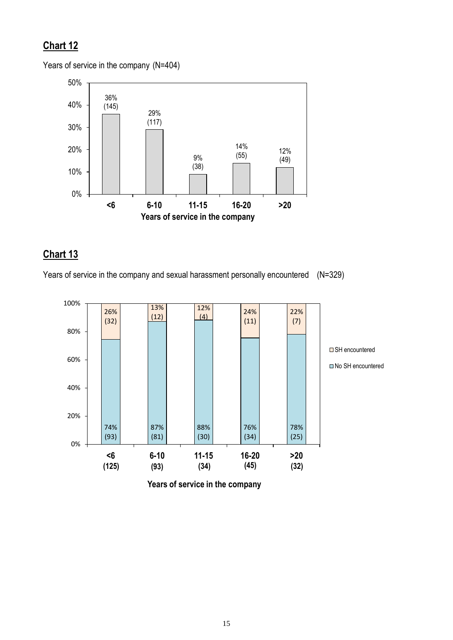Years of service in the company (N=404)



## **Chart 13**

Years of service in the company and sexual harassment personally encountered (N=329)



**Years of service in the company**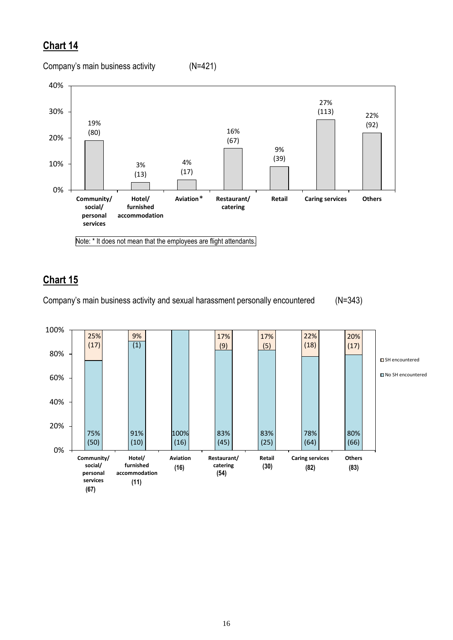Company's main business activity (N=421)



Note: \* It does not mean that the employees are flight attendants.

## **Chart 15**

Company's main business activity and sexual harassment personally encountered (N=343)